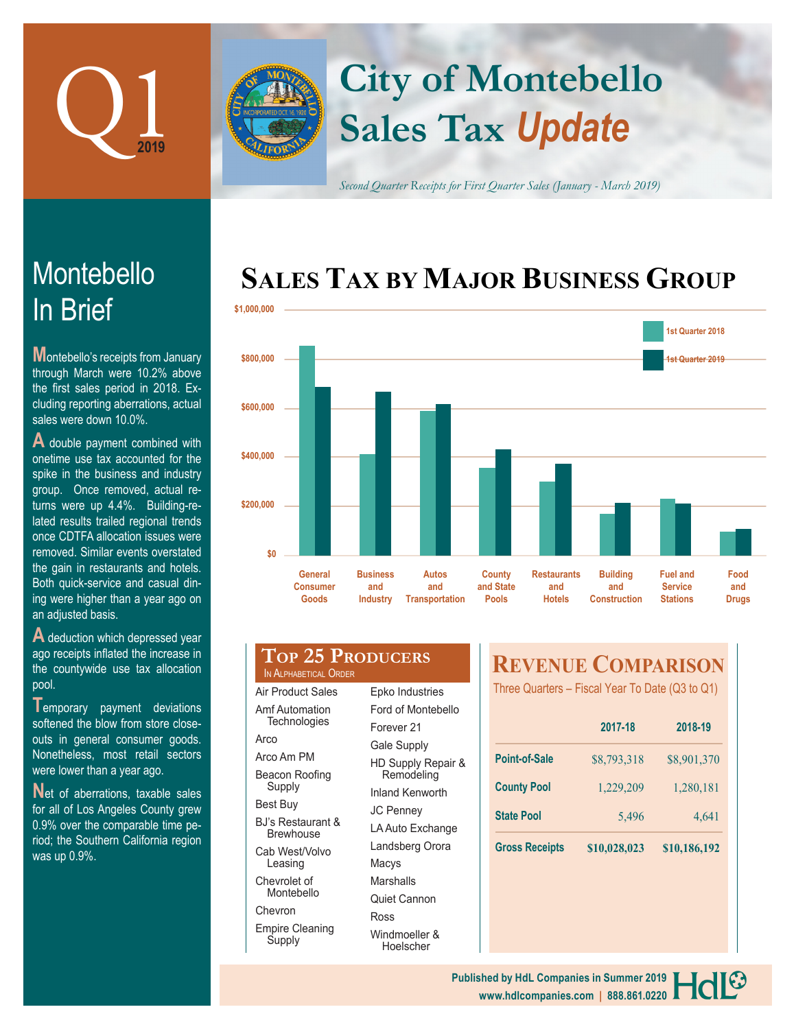

In Brief

Montebello

sales were down 10.0%.

**Montebello's receipts from January** through March were 10.2% above the first sales period in 2018. Excluding reporting aberrations, actual

**A** double payment combined with onetime use tax accounted for the spike in the business and industry group. Once removed, actual returns were up 4.4%. Building-related results trailed regional trends once CDTFA allocation issues were removed. Similar events overstated the gain in restaurants and hotels. Both quick-service and casual dining were higher than a year ago on

# **Sales Tax** *Update* **City of Montebello**

*Second Quarter Receipts for First Quarter Sales (January - March 2019)*

# **SALES TAX BY MAJOR BUSINESS GROUP**



| A deduction which depressed year      |  |  |  |  |  |  |
|---------------------------------------|--|--|--|--|--|--|
| ago receipts inflated the increase in |  |  |  |  |  |  |
| the countywide use tax allocation     |  |  |  |  |  |  |
| pool.                                 |  |  |  |  |  |  |

an adjusted basis.

**T**emporary payment deviations softened the blow from store closeouts in general consumer goods. Nonetheless, most retail sectors were lower than a year ago.

Net of aberrations, taxable sales for all of Los Angeles County grew 0.9% over the comparable time period; the Southern California region was up 0.9%.

| <b>TOP 25 PRODUCERS</b> |  |
|-------------------------|--|
| IN ALPHABETICAL ORDER   |  |

| Amf Automation<br>Technologies |
|--------------------------------|
| Arco                           |
| Arco Am PM                     |
| Beacon Roofing<br>Supply       |
| Best Buy                       |
| BJ's Restaurant &<br>Brewhouse |
| Cab West/Volvo<br>Leasing      |
| Chevrolet of                   |

Montebello Chevron

Empire Cleaning Supply

Air Product Sales

| Epko Industries                             |
|---------------------------------------------|
| Ford of Montebello                          |
| Forever 21                                  |
| <b>Gale Supply</b>                          |
| <b>HD Supply Repair &amp;</b><br>Remodeling |
| Inland Kenworth                             |
| JC Penney                                   |
| LA Auto Exchange                            |
| Landsberg Orora                             |
| Macys                                       |
| Marshalls                                   |
| Quiet Cannon                                |
| Ross                                        |
| Windmoeller &                               |

Hoelscher

# **REVENUE COMPARISON**

Three Quarters – Fiscal Year To Date (Q3 to Q1)

|                       | 2017-18      | 2018-19      |  |
|-----------------------|--------------|--------------|--|
| <b>Point-of-Sale</b>  | \$8,793,318  | \$8,901,370  |  |
| <b>County Pool</b>    | 1,229,209    | 1,280,181    |  |
| <b>State Pool</b>     | 5.496        | 4.641        |  |
| <b>Gross Receipts</b> | \$10,028,023 | \$10,186,192 |  |

#### **www.hdlcompanies.com | 888.861.0220 Published by HdL Companies in Summer 2019**